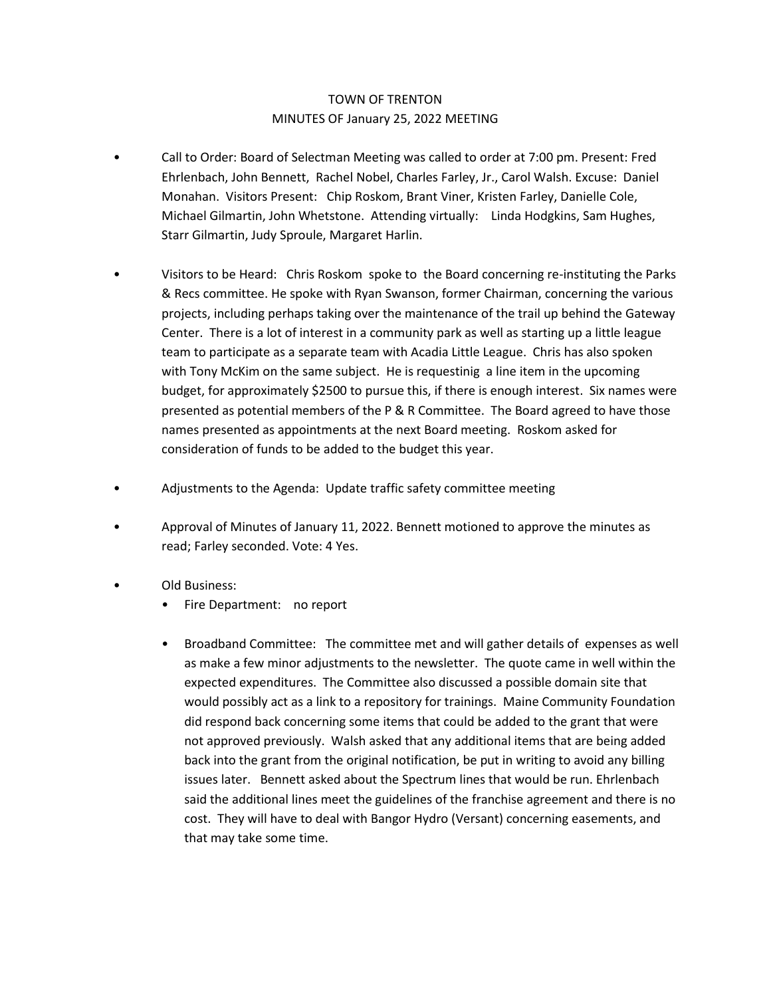## TOWN OF TRENTON MINUTES OF January 25, 2022 MEETING

- Call to Order: Board of Selectman Meeting was called to order at 7:00 pm. Present: Fred Ehrlenbach, John Bennett, Rachel Nobel, Charles Farley, Jr., Carol Walsh. Excuse: Daniel Monahan. Visitors Present: Chip Roskom, Brant Viner, Kristen Farley, Danielle Cole, Michael Gilmartin, John Whetstone. Attending virtually: Linda Hodgkins, Sam Hughes, Starr Gilmartin, Judy Sproule, Margaret Harlin.
- Visitors to be Heard: Chris Roskom spoke to the Board concerning re-instituting the Parks & Recs committee. He spoke with Ryan Swanson, former Chairman, concerning the various projects, including perhaps taking over the maintenance of the trail up behind the Gateway Center. There is a lot of interest in a community park as well as starting up a little league team to participate as a separate team with Acadia Little League. Chris has also spoken with Tony McKim on the same subject. He is requestinig a line item in the upcoming budget, for approximately \$2500 to pursue this, if there is enough interest. Six names were presented as potential members of the P & R Committee. The Board agreed to have those names presented as appointments at the next Board meeting. Roskom asked for consideration of funds to be added to the budget this year.
- Adjustments to the Agenda: Update traffic safety committee meeting
- Approval of Minutes of January 11, 2022. Bennett motioned to approve the minutes as read; Farley seconded. Vote: 4 Yes.
- Old Business:
	- Fire Department: no report
	- Broadband Committee: The committee met and will gather details of expenses as well as make a few minor adjustments to the newsletter. The quote came in well within the expected expenditures. The Committee also discussed a possible domain site that would possibly act as a link to a repository for trainings. Maine Community Foundation did respond back concerning some items that could be added to the grant that were not approved previously. Walsh asked that any additional items that are being added back into the grant from the original notification, be put in writing to avoid any billing issues later. Bennett asked about the Spectrum lines that would be run. Ehrlenbach said the additional lines meet the guidelines of the franchise agreement and there is no cost. They will have to deal with Bangor Hydro (Versant) concerning easements, and that may take some time.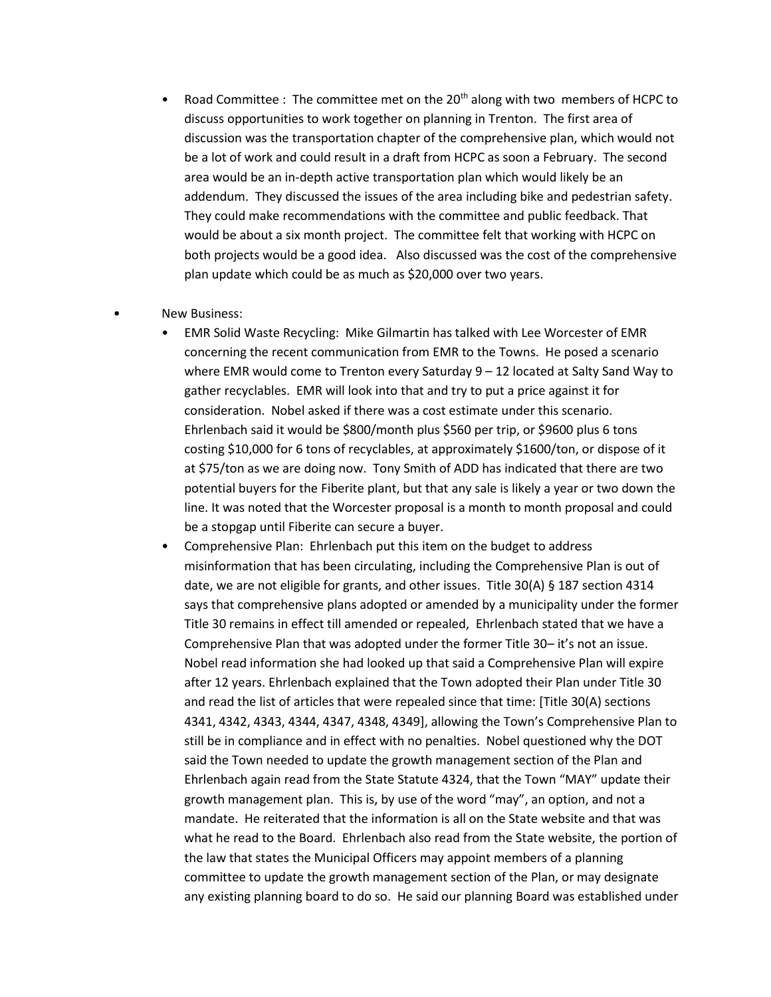Road Committee : The committee met on the  $20<sup>th</sup>$  along with two members of HCPC to discuss opportunities to work together on planning in Trenton. The first area of discussion was the transportation chapter of the comprehensive plan, which would not be a lot of work and could result in a draft from HCPC as soon a February. The second area would be an in-depth active transportation plan which would likely be an addendum. They discussed the issues of the area including bike and pedestrian safety. They could make recommendations with the committee and public feedback. That would be about a six month project. The committee felt that working with HCPC on both projects would be a good idea. Also discussed was the cost of the comprehensive plan update which could be as much as \$20,000 over two years.

## New Business:

- EMR Solid Waste Recycling: Mike Gilmartin has talked with Lee Worcester of EMR concerning the recent communication from EMR to the Towns. He posed a scenario where EMR would come to Trenton every Saturday 9 – 12 located at Salty Sand Way to gather recyclables. EMR will look into that and try to put a price against it for consideration. Nobel asked if there was a cost estimate under this scenario. Ehrlenbach said it would be \$800/month plus \$560 per trip, or \$9600 plus 6 tons costing \$10,000 for 6 tons of recyclables, at approximately \$1600/ton, or dispose of it at \$75/ton as we are doing now. Tony Smith of ADD has indicated that there are two potential buyers for the Fiberite plant, but that any sale is likely a year or two down the line. It was noted that the Worcester proposal is a month to month proposal and could be a stopgap until Fiberite can secure a buyer.
- Comprehensive Plan: Ehrlenbach put this item on the budget to address misinformation that has been circulating, including the Comprehensive Plan is out of date, we are not eligible for grants, and other issues. Title 30(A) § 187 section 4314 says that comprehensive plans adopted or amended by a municipality under the former Title 30 remains in effect till amended or repealed, Ehrlenbach stated that we have a Comprehensive Plan that was adopted under the former Title 30– it's not an issue. Nobel read information she had looked up that said a Comprehensive Plan will expire after 12 years. Ehrlenbach explained that the Town adopted their Plan under Title 30 and read the list of articles that were repealed since that time: [Title 30(A) sections 4341, 4342, 4343, 4344, 4347, 4348, 4349], allowing the Town's Comprehensive Plan to still be in compliance and in effect with no penalties. Nobel questioned why the DOT said the Town needed to update the growth management section of the Plan and Ehrlenbach again read from the State Statute 4324, that the Town "MAY" update their growth management plan. This is, by use of the word "may", an option, and not a mandate. He reiterated that the information is all on the State website and that was what he read to the Board. Ehrlenbach also read from the State website, the portion of the law that states the Municipal Officers may appoint members of a planning committee to update the growth management section of the Plan, or may designate any existing planning board to do so. He said our planning Board was established under